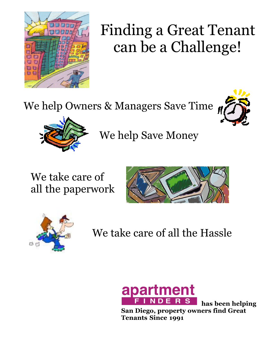

## Finding a Great Tenant can be a Challenge!

We help Owners & Managers Save Time





We help Save Money

We take care of all the paperwork





We take care of all the Hassle



**has been helping San Diego, property owners find Great Tenants Since 1991**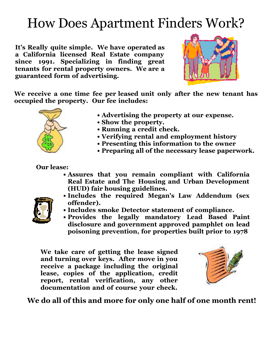### How Does Apartment Finders Work?

**It's Really quite simple. We have operated as a California licensed Real Estate company since 1991. Specializing in finding great tenants for rental property owners. We are a guaranteed form of advertising.**



**We receive a one time fee per leased unit only after the new tenant has occupied the property. Our fee includes:**



- **• Advertising the property at our expense.**
- **• Show the property.**
- **• Running a credit check.**
- **• Verifying rental and employment history**
- **• Presenting this information to the owner**
- **• Preparing all of the necessary lease paperwork.**

#### **Our lease:**

- **• Assures that you remain compliant with California Real Estate and The Housing and Urban Development (HUD) fair housing guidelines.**
- 
- **• Includes the required Megan's Law Addendum (sex offender).**
- **• Includes smoke Detector statement of compliance.**
- **• Provides the legally mandatory Lead Based Paint disclosure and government approved pamphlet on lead poisoning prevention, for properties built prior to 1978**

**We take care of getting the lease signed and turning over keys. After move in you receive a package including the original lease, copies of the application, credit report, rental verification, any other documentation and of course your check.**



#### **We do all of this and more for only one half of one month rent!**